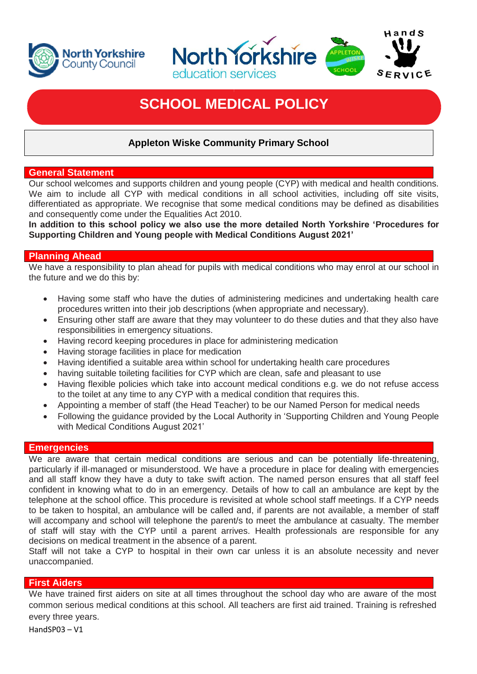



# **SCHOOL MEDICAL POLICY**

# **Appleton Wiske Community Primary School**

# **General Statement**

Our school welcomes and supports children and young people (CYP) with medical and health conditions. We aim to include all CYP with medical conditions in all school activities, including off site visits, differentiated as appropriate. We recognise that some medical conditions may be defined as disabilities and consequently come under the Equalities Act 2010.

**In addition to this school policy we also use the more detailed North Yorkshire 'Procedures for Supporting Children and Young people with Medical Conditions August 2021'** 

# **Planning Ahead**

We have a responsibility to plan ahead for pupils with medical conditions who may enrol at our school in the future and we do this by:

- Having some staff who have the duties of administering medicines and undertaking health care procedures written into their job descriptions (when appropriate and necessary).
- Ensuring other staff are aware that they may volunteer to do these duties and that they also have responsibilities in emergency situations.
- Having record keeping procedures in place for administering medication
- Having storage facilities in place for medication
- Having identified a suitable area within school for undertaking health care procedures
- having suitable toileting facilities for CYP which are clean, safe and pleasant to use
- Having flexible policies which take into account medical conditions e.g. we do not refuse access to the toilet at any time to any CYP with a medical condition that requires this.
- Appointing a member of staff (the Head Teacher) to be our Named Person for medical needs
- Following the guidance provided by the Local Authority in 'Supporting Children and Young People with Medical Conditions August 2021'

# **Emergencies**

We are aware that certain medical conditions are serious and can be potentially life-threatening, particularly if ill-managed or misunderstood. We have a procedure in place for dealing with emergencies and all staff know they have a duty to take swift action. The named person ensures that all staff feel confident in knowing what to do in an emergency. Details of how to call an ambulance are kept by the telephone at the school office. This procedure is revisited at whole school staff meetings. If a CYP needs to be taken to hospital, an ambulance will be called and, if parents are not available, a member of staff will accompany and school will telephone the parent/s to meet the ambulance at casualty. The member of staff will stay with the CYP until a parent arrives. Health professionals are responsible for any decisions on medical treatment in the absence of a parent.

Staff will not take a CYP to hospital in their own car unless it is an absolute necessity and never unaccompanied.

# **First Aiders**

We have trained first aiders on site at all times throughout the school day who are aware of the most common serious medical conditions at this school. All teachers are first aid trained. Training is refreshed every three years.

HandSP03 – V1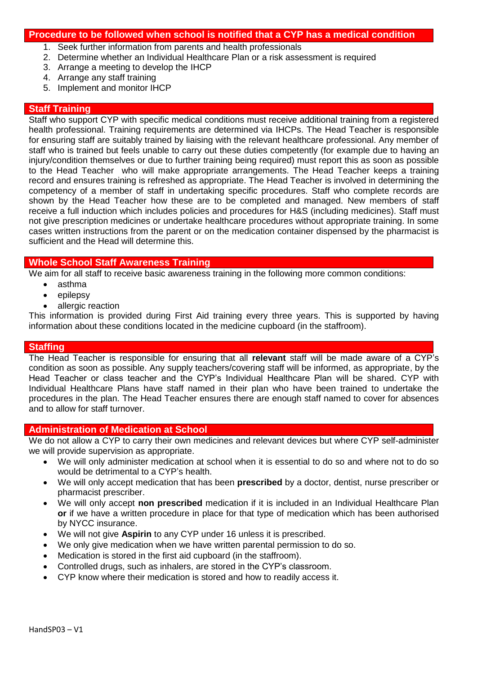#### **Procedure to be followed when school is notified that a CYP has a medical condition**

- 1. Seek further information from parents and health professionals
- 2. Determine whether an Individual Healthcare Plan or a risk assessment is required
- 3. Arrange a meeting to develop the IHCP
- 4. Arrange any staff training
- 5. Implement and monitor IHCP

#### **Staff Training**

Staff who support CYP with specific medical conditions must receive additional training from a registered health professional. Training requirements are determined via IHCPs. The Head Teacher is responsible for ensuring staff are suitably trained by liaising with the relevant healthcare professional. Any member of staff who is trained but feels unable to carry out these duties competently (for example due to having an injury/condition themselves or due to further training being required) must report this as soon as possible to the Head Teacher who will make appropriate arrangements. The Head Teacher keeps a training record and ensures training is refreshed as appropriate. The Head Teacher is involved in determining the competency of a member of staff in undertaking specific procedures. Staff who complete records are shown by the Head Teacher how these are to be completed and managed. New members of staff receive a full induction which includes policies and procedures for H&S (including medicines). Staff must not give prescription medicines or undertake healthcare procedures without appropriate training. In some cases written instructions from the parent or on the medication container dispensed by the pharmacist is sufficient and the Head will determine this.

# **Whole School Staff Awareness Training**

We aim for all staff to receive basic awareness training in the following more common conditions:

- asthma
- $\bullet$  epilepsy
- allergic reaction

This information is provided during First Aid training every three years. This is supported by having information about these conditions located in the medicine cupboard (in the staffroom).

#### **Staffing**

The Head Teacher is responsible for ensuring that all **relevant** staff will be made aware of a CYP's condition as soon as possible. Any supply teachers/covering staff will be informed, as appropriate, by the Head Teacher or class teacher and the CYP's Individual Healthcare Plan will be shared. CYP with Individual Healthcare Plans have staff named in their plan who have been trained to undertake the procedures in the plan. The Head Teacher ensures there are enough staff named to cover for absences and to allow for staff turnover.

#### **Administration of Medication at School**

We do not allow a CYP to carry their own medicines and relevant devices but where CYP self-administer we will provide supervision as appropriate.

- We will only administer medication at school when it is essential to do so and where not to do so would be detrimental to a CYP's health.
- We will only accept medication that has been **prescribed** by a doctor, dentist, nurse prescriber or pharmacist prescriber.
- We will only accept **non prescribed** medication if it is included in an Individual Healthcare Plan **or** if we have a written procedure in place for that type of medication which has been authorised by NYCC insurance.
- We will not give **Aspirin** to any CYP under 16 unless it is prescribed.
- We only give medication when we have written parental permission to do so.
- Medication is stored in the first aid cupboard (in the staffroom).
- Controlled drugs, such as inhalers, are stored in the CYP's classroom.
- CYP know where their medication is stored and how to readily access it.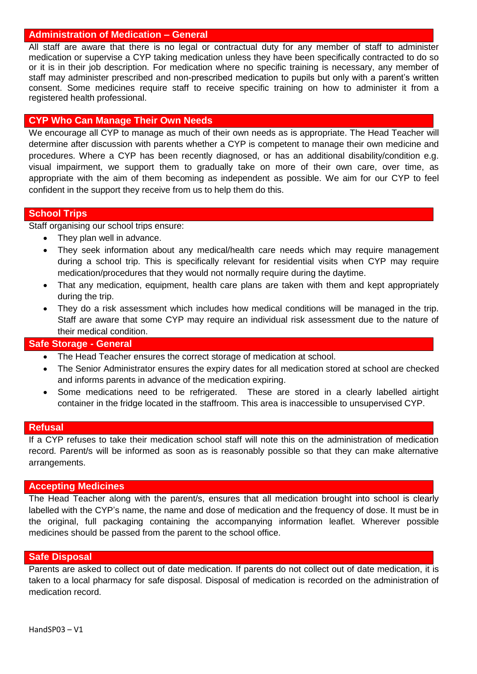#### **Administration of Medication – General**

All staff are aware that there is no legal or contractual duty for any member of staff to administer medication or supervise a CYP taking medication unless they have been specifically contracted to do so or it is in their iob description. For medication where no specific training is necessary, any member of staff may administer prescribed and non-prescribed medication to pupils but only with a parent's written consent. Some medicines require staff to receive specific training on how to administer it from a registered health professional.

# **CYP Who Can Manage Their Own Needs**

We encourage all CYP to manage as much of their own needs as is appropriate. The Head Teacher will determine after discussion with parents whether a CYP is competent to manage their own medicine and procedures. Where a CYP has been recently diagnosed, or has an additional disability/condition e.g. visual impairment, we support them to gradually take on more of their own care, over time, as appropriate with the aim of them becoming as independent as possible. We aim for our CYP to feel confident in the support they receive from us to help them do this.

#### **School Trips**

Staff organising our school trips ensure:

- They plan well in advance.
- They seek information about any medical/health care needs which may require management during a school trip. This is specifically relevant for residential visits when CYP may require medication/procedures that they would not normally require during the daytime.
- That any medication, equipment, health care plans are taken with them and kept appropriately during the trip.
- They do a risk assessment which includes how medical conditions will be managed in the trip. Staff are aware that some CYP may require an individual risk assessment due to the nature of their medical condition.

# **Safe Storage - General**

- The Head Teacher ensures the correct storage of medication at school.
- The Senior Administrator ensures the expiry dates for all medication stored at school are checked and informs parents in advance of the medication expiring.
- Some medications need to be refrigerated. These are stored in a clearly labelled airtight container in the fridge located in the staffroom. This area is inaccessible to unsupervised CYP.

#### **Refusal**

If a CYP refuses to take their medication school staff will note this on the administration of medication record. Parent/s will be informed as soon as is reasonably possible so that they can make alternative arrangements.

#### **Accepting Medicines**

The Head Teacher along with the parent/s, ensures that all medication brought into school is clearly labelled with the CYP's name, the name and dose of medication and the frequency of dose. It must be in the original, full packaging containing the accompanying information leaflet. Wherever possible medicines should be passed from the parent to the school office.

#### **Safe Disposal**

Parents are asked to collect out of date medication. If parents do not collect out of date medication, it is taken to a local pharmacy for safe disposal. Disposal of medication is recorded on the administration of medication record.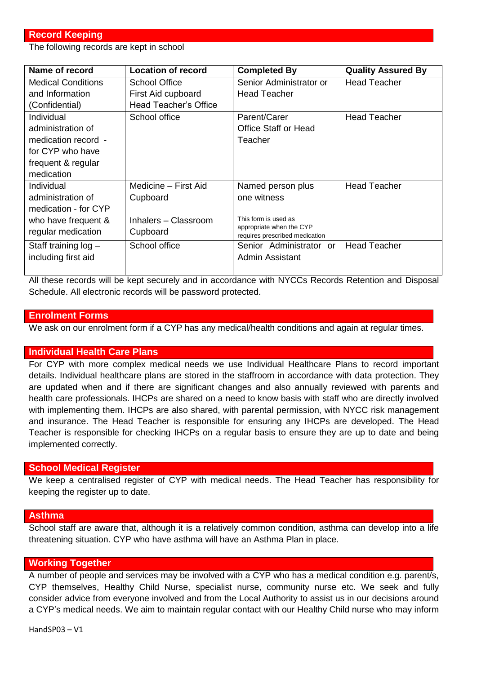# **Record Keeping**

The following records are kept in school

| Name of record            | <b>Location of record</b> | <b>Completed By</b>                                        | <b>Quality Assured By</b> |
|---------------------------|---------------------------|------------------------------------------------------------|---------------------------|
| <b>Medical Conditions</b> | School Office             | Senior Administrator or                                    | <b>Head Teacher</b>       |
| and Information           | First Aid cupboard        | <b>Head Teacher</b>                                        |                           |
| (Confidential)            | Head Teacher's Office     |                                                            |                           |
| Individual                | School office             | Parent/Carer                                               | <b>Head Teacher</b>       |
| administration of         |                           | Office Staff or Head                                       |                           |
| medication record -       |                           | Teacher                                                    |                           |
| for CYP who have          |                           |                                                            |                           |
| frequent & regular        |                           |                                                            |                           |
| medication                |                           |                                                            |                           |
| Individual                | Medicine – First Aid      | Named person plus                                          | <b>Head Teacher</b>       |
| administration of         | Cupboard                  | one witness                                                |                           |
| medication - for CYP      |                           |                                                            |                           |
| who have frequent &       | Inhalers - Classroom      | This form is used as                                       |                           |
| regular medication        | Cupboard                  | appropriate when the CYP<br>requires prescribed medication |                           |
| Staff training $log -$    | School office             | Senior Administrator or                                    | <b>Head Teacher</b>       |
| including first aid       |                           | Admin Assistant                                            |                           |
|                           |                           |                                                            |                           |

All these records will be kept securely and in accordance with NYCCs Records Retention and Disposal Schedule. All electronic records will be password protected.

#### **Enrolment Forms**

We ask on our enrolment form if a CYP has any medical/health conditions and again at regular times.

# **Individual Health Care Plans**

For CYP with more complex medical needs we use Individual Healthcare Plans to record important details. Individual healthcare plans are stored in the staffroom in accordance with data protection. They are updated when and if there are significant changes and also annually reviewed with parents and health care professionals. IHCPs are shared on a need to know basis with staff who are directly involved with implementing them. IHCPs are also shared, with parental permission, with NYCC risk management and insurance. The Head Teacher is responsible for ensuring any IHCPs are developed. The Head Teacher is responsible for checking IHCPs on a regular basis to ensure they are up to date and being implemented correctly.

#### **School Medical Register**

We keep a centralised register of CYP with medical needs. The Head Teacher has responsibility for keeping the register up to date.

#### **Asthma**

School staff are aware that, although it is a relatively common condition, asthma can develop into a life threatening situation. CYP who have asthma will have an Asthma Plan in place.

# **Working Together**

A number of people and services may be involved with a CYP who has a medical condition e.g. parent/s, CYP themselves, Healthy Child Nurse, specialist nurse, community nurse etc. We seek and fully consider advice from everyone involved and from the Local Authority to assist us in our decisions around a CYP's medical needs. We aim to maintain regular contact with our Healthy Child nurse who may inform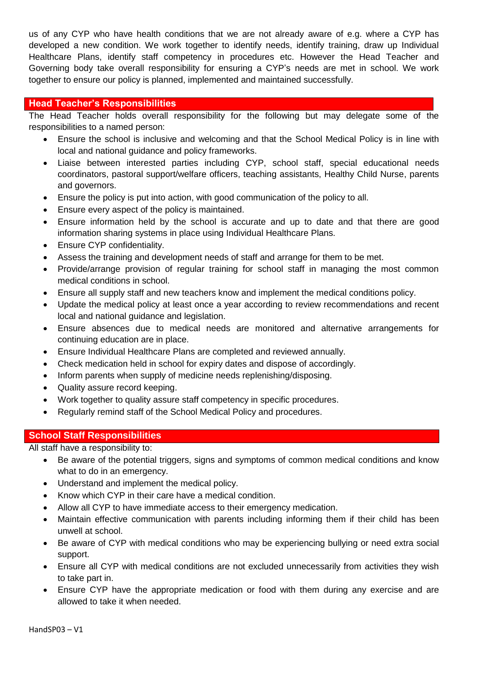us of any CYP who have health conditions that we are not already aware of e.g. where a CYP has developed a new condition. We work together to identify needs, identify training, draw up Individual Healthcare Plans, identify staff competency in procedures etc. However the Head Teacher and Governing body take overall responsibility for ensuring a CYP's needs are met in school. We work together to ensure our policy is planned, implemented and maintained successfully.

# **Head Teacher's Responsibilities**

The Head Teacher holds overall responsibility for the following but may delegate some of the responsibilities to a named person:

- Ensure the school is inclusive and welcoming and that the School Medical Policy is in line with local and national guidance and policy frameworks.
- Liaise between interested parties including CYP, school staff, special educational needs coordinators, pastoral support/welfare officers, teaching assistants, Healthy Child Nurse, parents and governors.
- Ensure the policy is put into action, with good communication of the policy to all.
- Ensure every aspect of the policy is maintained.
- Ensure information held by the school is accurate and up to date and that there are good information sharing systems in place using Individual Healthcare Plans.
- Ensure CYP confidentiality.
- Assess the training and development needs of staff and arrange for them to be met.
- Provide/arrange provision of regular training for school staff in managing the most common medical conditions in school.
- Ensure all supply staff and new teachers know and implement the medical conditions policy.
- Update the medical policy at least once a year according to review recommendations and recent local and national guidance and legislation.
- Ensure absences due to medical needs are monitored and alternative arrangements for continuing education are in place.
- Ensure Individual Healthcare Plans are completed and reviewed annually.
- Check medication held in school for expiry dates and dispose of accordingly.
- Inform parents when supply of medicine needs replenishing/disposing.
- Quality assure record keeping.
- Work together to quality assure staff competency in specific procedures.
- Regularly remind staff of the School Medical Policy and procedures.

# **School Staff Responsibilities**

All staff have a responsibility to:

- Be aware of the potential triggers, signs and symptoms of common medical conditions and know what to do in an emergency.
- Understand and implement the medical policy.
- Know which CYP in their care have a medical condition.
- Allow all CYP to have immediate access to their emergency medication.
- Maintain effective communication with parents including informing them if their child has been unwell at school.
- Be aware of CYP with medical conditions who may be experiencing bullying or need extra social support.
- Ensure all CYP with medical conditions are not excluded unnecessarily from activities they wish to take part in.
- Ensure CYP have the appropriate medication or food with them during any exercise and are allowed to take it when needed.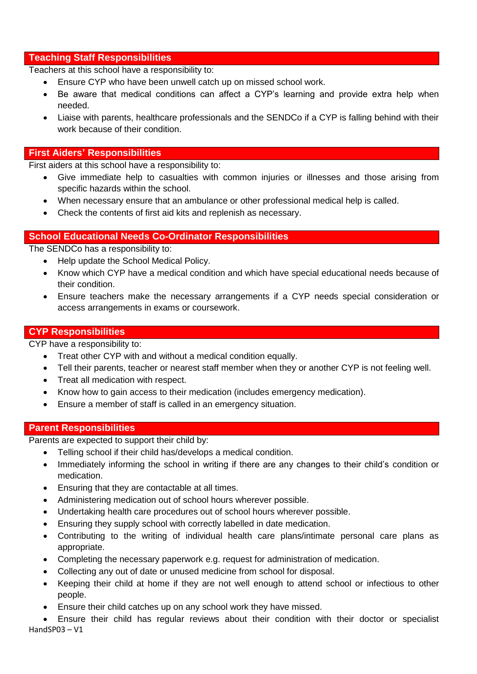# **Teaching Staff Responsibilities**

Teachers at this school have a responsibility to:

- Ensure CYP who have been unwell catch up on missed school work.
- Be aware that medical conditions can affect a CYP's learning and provide extra help when needed.
- Liaise with parents, healthcare professionals and the SENDCo if a CYP is falling behind with their work because of their condition.

# **First Aiders' Responsibilities**

First aiders at this school have a responsibility to:

- Give immediate help to casualties with common injuries or illnesses and those arising from specific hazards within the school.
- When necessary ensure that an ambulance or other professional medical help is called.
- Check the contents of first aid kits and replenish as necessary.

# **School Educational Needs Co-Ordinator Responsibilities**

The SENDCo has a responsibility to:

- Help update the School Medical Policy.
- Know which CYP have a medical condition and which have special educational needs because of their condition.
- Ensure teachers make the necessary arrangements if a CYP needs special consideration or access arrangements in exams or coursework.

# **CYP Responsibilities**

CYP have a responsibility to:

- Treat other CYP with and without a medical condition equally.
- Tell their parents, teacher or nearest staff member when they or another CYP is not feeling well.
- Treat all medication with respect.
- Know how to gain access to their medication (includes emergency medication).
- Ensure a member of staff is called in an emergency situation.

# **Parent Responsibilities**

Parents are expected to support their child by:

- Telling school if their child has/develops a medical condition.
- Immediately informing the school in writing if there are any changes to their child's condition or medication.
- Ensuring that they are contactable at all times.
- Administering medication out of school hours wherever possible.
- Undertaking health care procedures out of school hours wherever possible.
- Ensuring they supply school with correctly labelled in date medication.
- Contributing to the writing of individual health care plans/intimate personal care plans as appropriate.
- Completing the necessary paperwork e.g. request for administration of medication.
- Collecting any out of date or unused medicine from school for disposal.
- Keeping their child at home if they are not well enough to attend school or infectious to other people.
- Ensure their child catches up on any school work they have missed.

HandSP03 – V1 Ensure their child has regular reviews about their condition with their doctor or specialist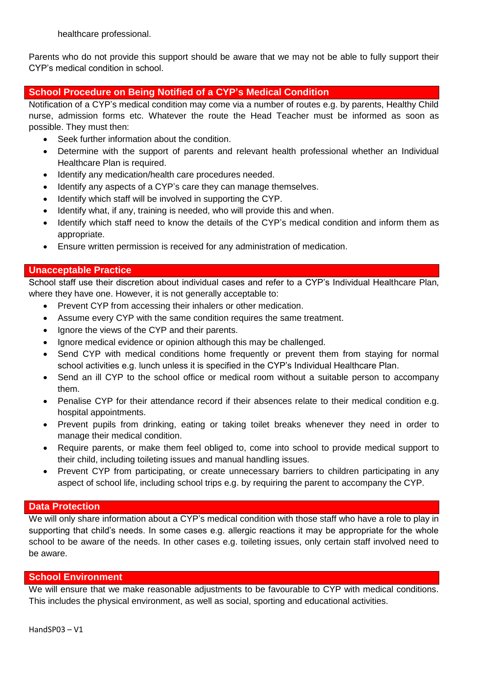healthcare professional.

Parents who do not provide this support should be aware that we may not be able to fully support their CYP's medical condition in school.

# **School Procedure on Being Notified of a CYP's Medical Condition**

Notification of a CYP's medical condition may come via a number of routes e.g. by parents, Healthy Child nurse, admission forms etc. Whatever the route the Head Teacher must be informed as soon as possible. They must then:

- Seek further information about the condition.
- Determine with the support of parents and relevant health professional whether an Individual Healthcare Plan is required.
- Identify any medication/health care procedures needed.
- Identify any aspects of a CYP's care they can manage themselves.
- Identify which staff will be involved in supporting the CYP.
- Identify what, if any, training is needed, who will provide this and when.
- Identify which staff need to know the details of the CYP's medical condition and inform them as appropriate.
- Ensure written permission is received for any administration of medication.

#### **Unacceptable Practice**

School staff use their discretion about individual cases and refer to a CYP's Individual Healthcare Plan, where they have one. However, it is not generally acceptable to:

- Prevent CYP from accessing their inhalers or other medication.
- Assume every CYP with the same condition requires the same treatment.
- Ignore the views of the CYP and their parents.
- Ignore medical evidence or opinion although this may be challenged.
- Send CYP with medical conditions home frequently or prevent them from staying for normal school activities e.g. lunch unless it is specified in the CYP's Individual Healthcare Plan.
- Send an ill CYP to the school office or medical room without a suitable person to accompany them.
- Penalise CYP for their attendance record if their absences relate to their medical condition e.g. hospital appointments.
- Prevent pupils from drinking, eating or taking toilet breaks whenever they need in order to manage their medical condition.
- Require parents, or make them feel obliged to, come into school to provide medical support to their child, including toileting issues and manual handling issues.
- Prevent CYP from participating, or create unnecessary barriers to children participating in any aspect of school life, including school trips e.g. by requiring the parent to accompany the CYP.

# **Data Protection**

We will only share information about a CYP's medical condition with those staff who have a role to play in supporting that child's needs. In some cases e.g. allergic reactions it may be appropriate for the whole school to be aware of the needs. In other cases e.g. toileting issues, only certain staff involved need to be aware.

# **School Environment**

We will ensure that we make reasonable adjustments to be favourable to CYP with medical conditions. This includes the physical environment, as well as social, sporting and educational activities.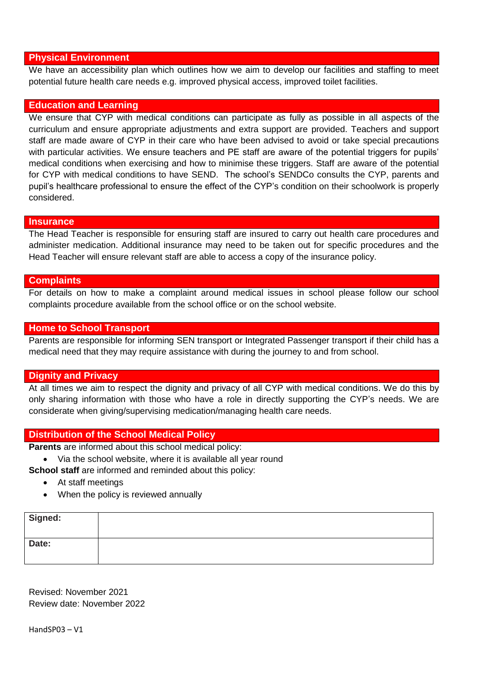#### **Physical Environment**

We have an accessibility plan which outlines how we aim to develop our facilities and staffing to meet potential future health care needs e.g. improved physical access, improved toilet facilities.

#### **Education and Learning**

We ensure that CYP with medical conditions can participate as fully as possible in all aspects of the curriculum and ensure appropriate adjustments and extra support are provided. Teachers and support staff are made aware of CYP in their care who have been advised to avoid or take special precautions with particular activities. We ensure teachers and PE staff are aware of the potential triggers for pupils' medical conditions when exercising and how to minimise these triggers. Staff are aware of the potential for CYP with medical conditions to have SEND. The school's SENDCo consults the CYP, parents and pupil's healthcare professional to ensure the effect of the CYP's condition on their schoolwork is properly considered.

#### **Insurance**

The Head Teacher is responsible for ensuring staff are insured to carry out health care procedures and administer medication. Additional insurance may need to be taken out for specific procedures and the Head Teacher will ensure relevant staff are able to access a copy of the insurance policy.

#### **Complaints**

For details on how to make a complaint around medical issues in school please follow our school complaints procedure available from the school office or on the school website.

#### **Home to School Transport**

Parents are responsible for informing SEN transport or Integrated Passenger transport if their child has a medical need that they may require assistance with during the journey to and from school.

#### **Dignity and Privacy**

At all times we aim to respect the dignity and privacy of all CYP with medical conditions. We do this by only sharing information with those who have a role in directly supporting the CYP's needs. We are considerate when giving/supervising medication/managing health care needs.

#### **Distribution of the School Medical Policy**

**Parents** are informed about this school medical policy:

Via the school website, where it is available all year round

**School staff** are informed and reminded about this policy:

- At staff meetings
- When the policy is reviewed annually

| Signed: |  |
|---------|--|
| Date:   |  |

Revised: November 2021 Review date: November 2022